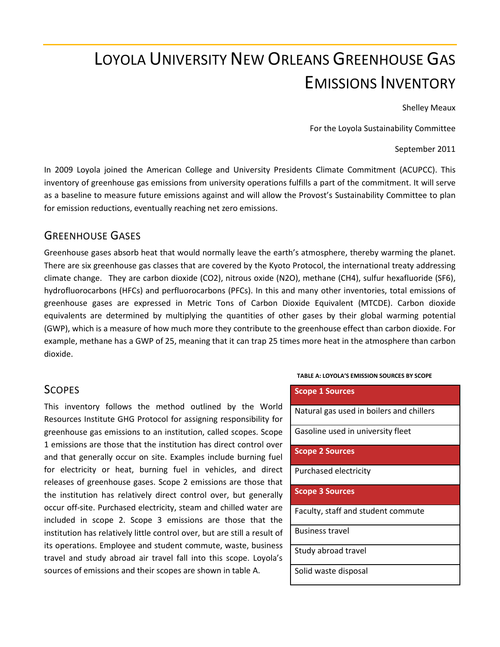# LOYOLA UNIVERSITY NEW ORLEANS GREENHOUSE GAS EMISSIONS INVENTORY

Shelley Meaux

For the Loyola Sustainability Committee

September 2011

In 2009 Loyola joined the American College and University Presidents Climate Commitment (ACUPCC). This inventory of greenhouse gas emissions from university operations fulfills a part of the commitment. It will serve as a baseline to measure future emissions against and will allow the Provost's Sustainability Committee to plan for emission reductions, eventually reaching net zero emissions.

### GREENHOUSE GASES

Greenhouse gases absorb heat that would normally leave the earth's atmosphere, thereby warming the planet. There are six greenhouse gas classes that are covered by the Kyoto Protocol, the international treaty addressing climate change. They are carbon dioxide (CO2), nitrous oxide (N2O), methane (CH4), sulfur hexafluoride (SF6), hydrofluorocarbons (HFCs) and perfluorocarbons (PFCs). In this and many other inventories, total emissions of greenhouse gases are expressed in Metric Tons of Carbon Dioxide Equivalent (MTCDE). Carbon dioxide equivalents are determined by multiplying the quantities of other gases by their global warming potential (GWP), which is a measure of how much more they contribute to the greenhouse effect than carbon dioxide. For example, methane has a GWP of 25, meaning that it can trap 25 times more heat in the atmosphere than carbon dioxide.

### **SCOPES**

This inventory follows the method outlined by the World Resources Institute GHG Protocol for assigning responsibility for greenhouse gas emissions to an institution, called scopes. Scope 1 emissions are those that the institution has direct control over and that generally occur on site. Examples include burning fuel for electricity or heat, burning fuel in vehicles, and direct releases of greenhouse gases. Scope 2 emissions are those that the institution has relatively direct control over, but generally occur off-site. Purchased electricity, steam and chilled water are included in scope 2. Scope 3 emissions are those that the institution has relatively little control over, but are still a result of its operations. Employee and student commute, waste, business travel and study abroad air travel fall into this scope. Loyola's sources of emissions and their scopes are shown in table A.

#### **TABLE A: LOYOLA'S EMISSION SOURCES BY SCOPE**

**Scope 1 Sources**

Natural gas used in boilers and chillers

Gasoline used in university fleet

**Scope 2 Sources**

Purchased electricity

**Scope 3 Sources**

Faculty, staff and student commute

Business travel

Study abroad travel

Solid waste disposal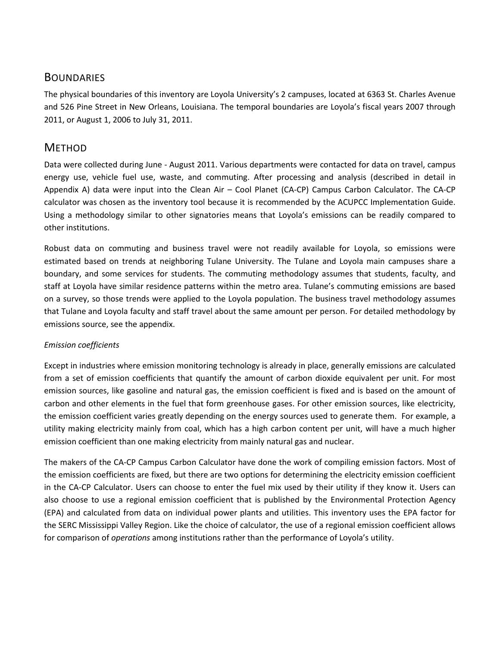## **BOUNDARIES**

The physical boundaries of this inventory are Loyola University's 2 campuses, located at 6363 St. Charles Avenue and 526 Pine Street in New Orleans, Louisiana. The temporal boundaries are Loyola's fiscal years 2007 through 2011, or August 1, 2006 to July 31, 2011.

## **METHOD**

Data were collected during June - August 2011. Various departments were contacted for data on travel, campus energy use, vehicle fuel use, waste, and commuting. After processing and analysis (described in detail in Appendix A) data were input into the Clean Air – Cool Planet (CA-CP) Campus Carbon Calculator. The CA-CP calculator was chosen as the inventory tool because it is recommended by the ACUPCC Implementation Guide. Using a methodology similar to other signatories means that Loyola's emissions can be readily compared to other institutions.

Robust data on commuting and business travel were not readily available for Loyola, so emissions were estimated based on trends at neighboring Tulane University. The Tulane and Loyola main campuses share a boundary, and some services for students. The commuting methodology assumes that students, faculty, and staff at Loyola have similar residence patterns within the metro area. Tulane's commuting emissions are based on a survey, so those trends were applied to the Loyola population. The business travel methodology assumes that Tulane and Loyola faculty and staff travel about the same amount per person. For detailed methodology by emissions source, see the appendix.

### *Emission coefficients*

Except in industries where emission monitoring technology is already in place, generally emissions are calculated from a set of emission coefficients that quantify the amount of carbon dioxide equivalent per unit. For most emission sources, like gasoline and natural gas, the emission coefficient is fixed and is based on the amount of carbon and other elements in the fuel that form greenhouse gases. For other emission sources, like electricity, the emission coefficient varies greatly depending on the energy sources used to generate them. For example, a utility making electricity mainly from coal, which has a high carbon content per unit, will have a much higher emission coefficient than one making electricity from mainly natural gas and nuclear.

The makers of the CA-CP Campus Carbon Calculator have done the work of compiling emission factors. Most of the emission coefficients are fixed, but there are two options for determining the electricity emission coefficient in the CA-CP Calculator. Users can choose to enter the fuel mix used by their utility if they know it. Users can also choose to use a regional emission coefficient that is published by the Environmental Protection Agency (EPA) and calculated from data on individual power plants and utilities. This inventory uses the EPA factor for the SERC Mississippi Valley Region. Like the choice of calculator, the use of a regional emission coefficient allows for comparison of *operations* among institutions rather than the performance of Loyola's utility.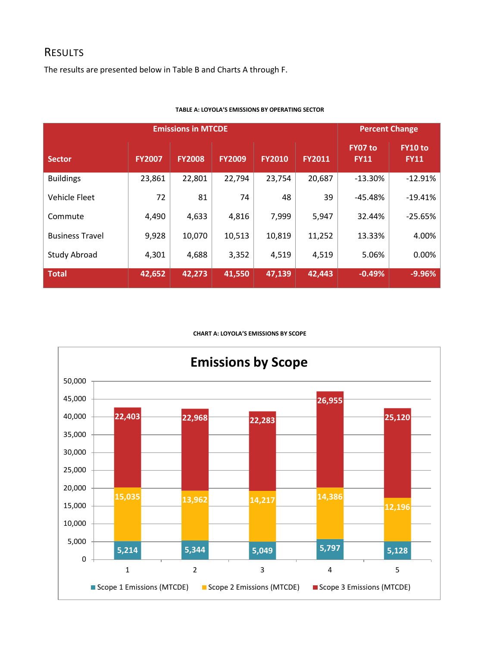### **RESULTS**

The results are presented below in Table B and Charts A through F.

| <b>Emissions in MTCDE</b> |               |               |               |               |        |                        | <b>Percent Change</b>  |  |
|---------------------------|---------------|---------------|---------------|---------------|--------|------------------------|------------------------|--|
| <b>Sector</b>             | <b>FY2007</b> | <b>FY2008</b> | <b>FY2009</b> | <b>FY2010</b> | FY2011 | FY07 to<br><b>FY11</b> | FY10 to<br><b>FY11</b> |  |
| <b>Buildings</b>          | 23,861        | 22,801        | 22,794        | 23,754        | 20,687 | $-13.30%$              | $-12.91%$              |  |
| Vehicle Fleet             | 72            | 81            | 74            | 48            | 39     | $-45.48%$              | $-19.41%$              |  |
| Commute                   | 4,490         | 4,633         | 4,816         | 7,999         | 5,947  | 32.44%                 | $-25.65%$              |  |
| <b>Business Travel</b>    | 9,928         | 10,070        | 10,513        | 10,819        | 11,252 | 13.33%                 | 4.00%                  |  |
| Study Abroad              | 4,301         | 4,688         | 3,352         | 4,519         | 4,519  | 5.06%                  | 0.00%                  |  |
| <b>Total</b>              | 42,652        | 42,273        | 41,550        | 47,139        | 42,443 | $-0.49%$               | $-9.96%$               |  |

#### **TABLE A: LOYOLA'S EMISSIONS BY OPERATING SECTOR**

#### **CHART A: LOYOLA'S EMISSIONS BY SCOPE**

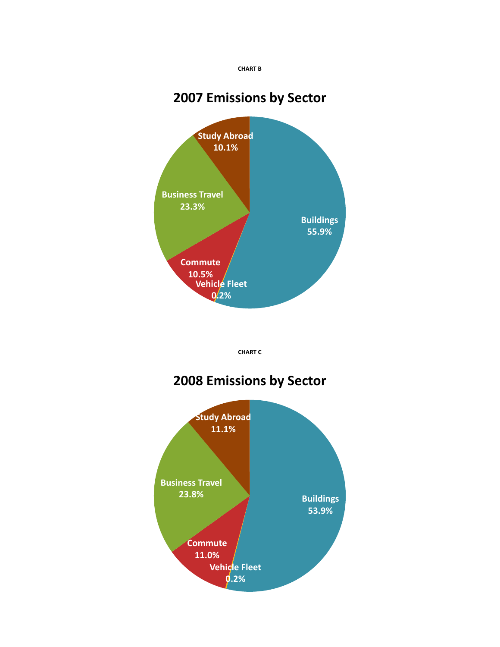

## **2007 Emissions by Sector**



**CHART C**

## **2008 Emissions by Sector**

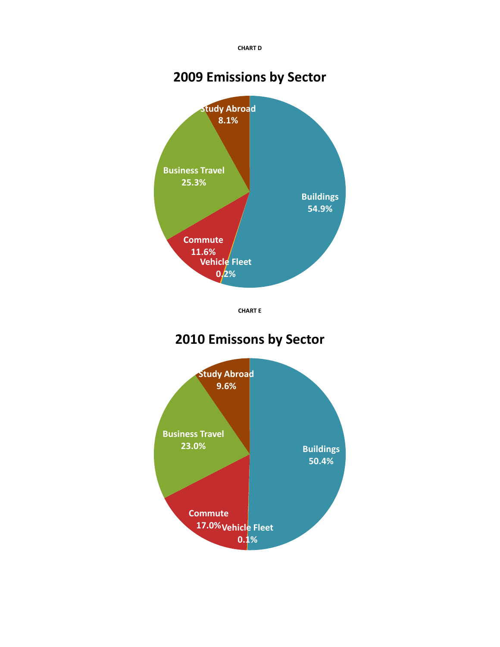**CHART D**

## **2009 Emissions by Sector**



**CHART E**

## **2010 Emissons by Sector**

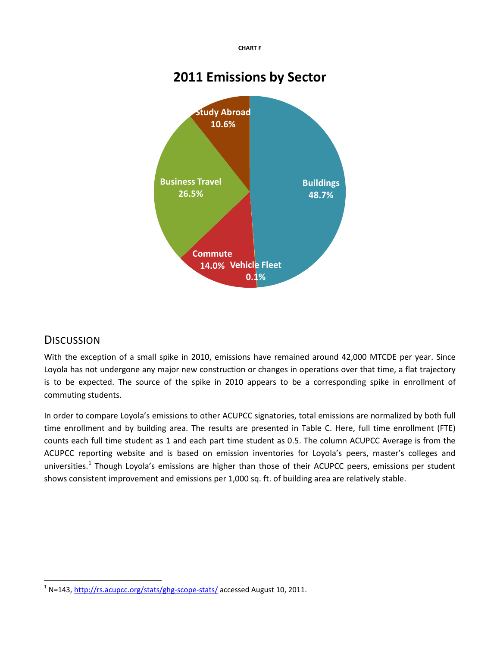**CHART F**

## **2011 Emissions by Sector**



## **DISCUSSION**

With the exception of a small spike in 2010, emissions have remained around 42,000 MTCDE per year. Since Loyola has not undergone any major new construction or changes in operations over that time, a flat trajectory is to be expected. The source of the spike in 2010 appears to be a corresponding spike in enrollment of commuting students.

In order to compare Loyola's emissions to other ACUPCC signatories, total emissions are normalized by both full time enrollment and by building area. The results are presented in Table C. Here, full time enrollment (FTE) counts each full time student as 1 and each part time student as 0.5. The column ACUPCC Average is from the ACUPCC reporting website and is based on emission inventories for Loyola's peers, master's colleges and universities.<sup>[1](#page-5-0)</sup> Though Loyola's emissions are higher than those of their ACUPCC peers, emissions per student shows consistent improvement and emissions per 1,000 sq. ft. of building area are relatively stable.

<span id="page-5-0"></span> <sup>1</sup> N=143,<http://rs.acupcc.org/stats/ghg-scope-stats/> accessed August 10, 2011.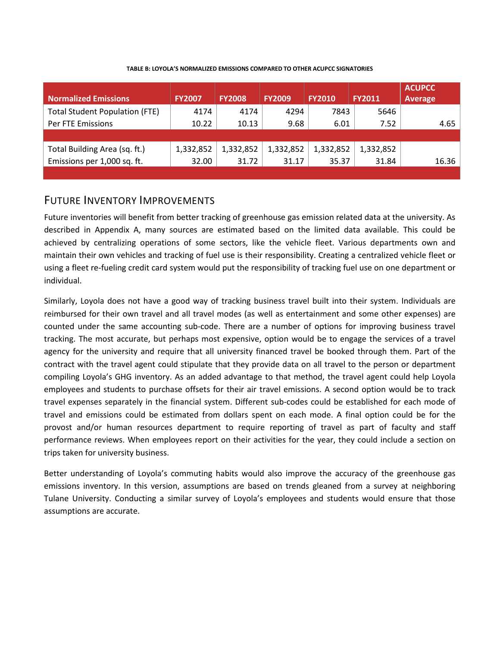| <b>Normalized Emissions</b>           | <b>FY2007</b> | <b>FY2008</b> | <b>FY2009</b> | <b>FY2010</b> | <b>FY2011</b> | <b>ACUPCC</b><br>Average |
|---------------------------------------|---------------|---------------|---------------|---------------|---------------|--------------------------|
| <b>Total Student Population (FTE)</b> | 4174          | 4174          | 4294          | 7843          | 5646          |                          |
| Per FTE Emissions                     | 10.22         | 10.13         | 9.68          | 6.01          | 7.52          | 4.65                     |
|                                       |               |               |               |               |               |                          |
| Total Building Area (sq. ft.)         | 1,332,852     | 1,332,852     | 1,332,852     | 1,332,852     | 1,332,852     |                          |
| Emissions per 1,000 sq. ft.           | 32.00         | 31.72         | 31.17         | 35.37         | 31.84         | 16.36                    |
|                                       |               |               |               |               |               |                          |

**TABLE B: LOYOLA'S NORMALIZED EMISSIONS COMPARED TO OTHER ACUPCC SIGNATORIES**

## FUTURE INVENTORY IMPROVEMENTS

Future inventories will benefit from better tracking of greenhouse gas emission related data at the university. As described in Appendix A, many sources are estimated based on the limited data available. This could be achieved by centralizing operations of some sectors, like the vehicle fleet. Various departments own and maintain their own vehicles and tracking of fuel use is their responsibility. Creating a centralized vehicle fleet or using a fleet re-fueling credit card system would put the responsibility of tracking fuel use on one department or individual.

Similarly, Loyola does not have a good way of tracking business travel built into their system. Individuals are reimbursed for their own travel and all travel modes (as well as entertainment and some other expenses) are counted under the same accounting sub-code. There are a number of options for improving business travel tracking. The most accurate, but perhaps most expensive, option would be to engage the services of a travel agency for the university and require that all university financed travel be booked through them. Part of the contract with the travel agent could stipulate that they provide data on all travel to the person or department compiling Loyola's GHG inventory. As an added advantage to that method, the travel agent could help Loyola employees and students to purchase offsets for their air travel emissions. A second option would be to track travel expenses separately in the financial system. Different sub-codes could be established for each mode of travel and emissions could be estimated from dollars spent on each mode. A final option could be for the provost and/or human resources department to require reporting of travel as part of faculty and staff performance reviews. When employees report on their activities for the year, they could include a section on trips taken for university business.

Better understanding of Loyola's commuting habits would also improve the accuracy of the greenhouse gas emissions inventory. In this version, assumptions are based on trends gleaned from a survey at neighboring Tulane University. Conducting a similar survey of Loyola's employees and students would ensure that those assumptions are accurate.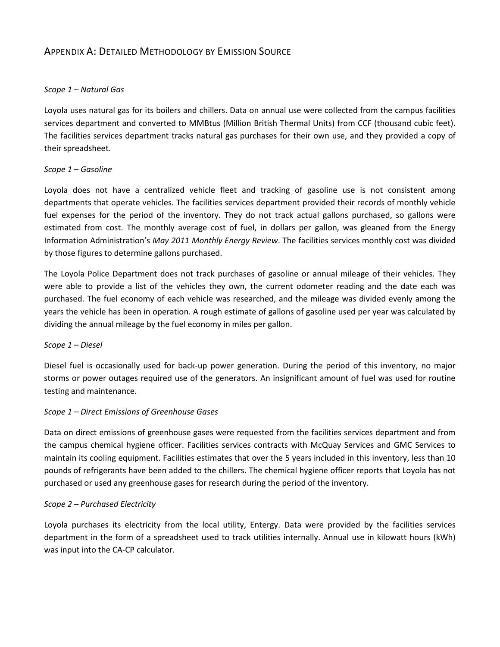### APPENDIX A: DETAILED METHODOLOGY BY EMISSION SOURCE

### *Scope 1 – Natural Gas*

Loyola uses natural gas for its boilers and chillers. Data on annual use were collected from the campus facilities services department and converted to MMBtus (Million British Thermal Units) from CCF (thousand cubic feet). The facilities services department tracks natural gas purchases for their own use, and they provided a copy of their spreadsheet.

### *Scope 1 – Gasoline*

Loyola does not have a centralized vehicle fleet and tracking of gasoline use is not consistent among departments that operate vehicles. The facilities services department provided their records of monthly vehicle fuel expenses for the period of the inventory. They do not track actual gallons purchased, so gallons were estimated from cost. The monthly average cost of fuel, in dollars per gallon, was gleaned from the Energy Information Administration's *May 2011 Monthly Energy Review*. The facilities services monthly cost was divided by those figures to determine gallons purchased.

The Loyola Police Department does not track purchases of gasoline or annual mileage of their vehicles. They were able to provide a list of the vehicles they own, the current odometer reading and the date each was purchased. The fuel economy of each vehicle was researched, and the mileage was divided evenly among the years the vehicle has been in operation. A rough estimate of gallons of gasoline used per year was calculated by dividing the annual mileage by the fuel economy in miles per gallon.

### *Scope 1 – Diesel*

Diesel fuel is occasionally used for back-up power generation. During the period of this inventory, no major storms or power outages required use of the generators. An insignificant amount of fuel was used for routine testing and maintenance.

### *Scope 1 – Direct Emissions of Greenhouse Gases*

Data on direct emissions of greenhouse gases were requested from the facilities services department and from the campus chemical hygiene officer. Facilities services contracts with McQuay Services and GMC Services to maintain its cooling equipment. Facilities estimates that over the 5 years included in this inventory, less than 10 pounds of refrigerants have been added to the chillers. The chemical hygiene officer reports that Loyola has not purchased or used any greenhouse gases for research during the period of the inventory.

### *Scope 2 – Purchased Electricity*

Loyola purchases its electricity from the local utility, Entergy. Data were provided by the facilities services department in the form of a spreadsheet used to track utilities internally. Annual use in kilowatt hours (kWh) was input into the CA-CP calculator.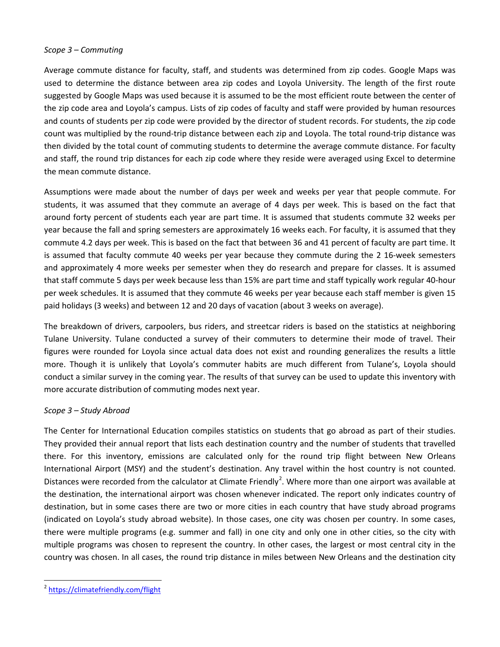#### *Scope 3 – Commuting*

Average commute distance for faculty, staff, and students was determined from zip codes. Google Maps was used to determine the distance between area zip codes and Loyola University. The length of the first route suggested by Google Maps was used because it is assumed to be the most efficient route between the center of the zip code area and Loyola's campus. Lists of zip codes of faculty and staff were provided by human resources and counts of students per zip code were provided by the director of student records. For students, the zip code count was multiplied by the round-trip distance between each zip and Loyola. The total round-trip distance was then divided by the total count of commuting students to determine the average commute distance. For faculty and staff, the round trip distances for each zip code where they reside were averaged using Excel to determine the mean commute distance.

Assumptions were made about the number of days per week and weeks per year that people commute. For students, it was assumed that they commute an average of 4 days per week. This is based on the fact that around forty percent of students each year are part time. It is assumed that students commute 32 weeks per year because the fall and spring semesters are approximately 16 weeks each. For faculty, it is assumed that they commute 4.2 days per week. This is based on the fact that between 36 and 41 percent of faculty are part time. It is assumed that faculty commute 40 weeks per year because they commute during the 2 16-week semesters and approximately 4 more weeks per semester when they do research and prepare for classes. It is assumed that staff commute 5 days per week because less than 15% are part time and staff typically work regular 40-hour per week schedules. It is assumed that they commute 46 weeks per year because each staff member is given 15 paid holidays (3 weeks) and between 12 and 20 days of vacation (about 3 weeks on average).

The breakdown of drivers, carpoolers, bus riders, and streetcar riders is based on the statistics at neighboring Tulane University. Tulane conducted a survey of their commuters to determine their mode of travel. Their figures were rounded for Loyola since actual data does not exist and rounding generalizes the results a little more. Though it is unlikely that Loyola's commuter habits are much different from Tulane's, Loyola should conduct a similar survey in the coming year. The results of that survey can be used to update this inventory with more accurate distribution of commuting modes next year.

### *Scope 3 – Study Abroad*

The Center for International Education compiles statistics on students that go abroad as part of their studies. They provided their annual report that lists each destination country and the number of students that travelled there. For this inventory, emissions are calculated only for the round trip flight between New Orleans International Airport (MSY) and the student's destination. Any travel within the host country is not counted. Distances were recorded from the calculator at Climate Friendly<sup>[2](#page-8-0)</sup>. Where more than one airport was available at the destination, the international airport was chosen whenever indicated. The report only indicates country of destination, but in some cases there are two or more cities in each country that have study abroad programs (indicated on Loyola's study abroad website). In those cases, one city was chosen per country. In some cases, there were multiple programs (e.g. summer and fall) in one city and only one in other cities, so the city with multiple programs was chosen to represent the country. In other cases, the largest or most central city in the country was chosen. In all cases, the round trip distance in miles between New Orleans and the destination city

<span id="page-8-0"></span> <sup>2</sup> <https://climatefriendly.com/flight>